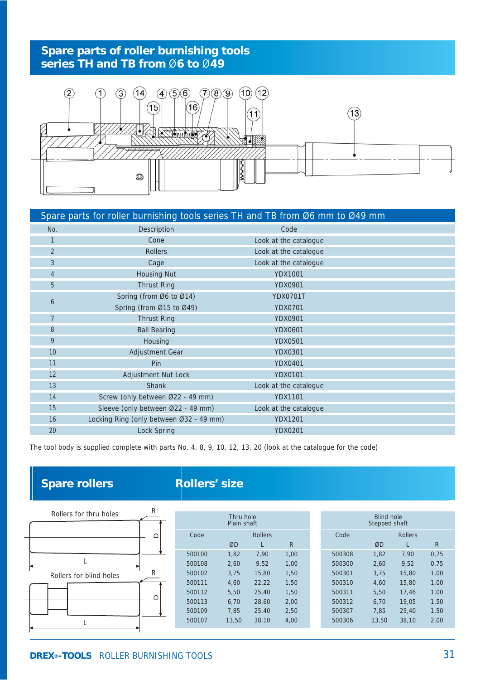## **Spare parts of roller burnishing tools series TH and TB from** Ø**6 to** Ø**49**



|                | Spare parts for roller burnishing tools series TH and TB from Ø6 mm to Ø49 mm |                       |  |
|----------------|-------------------------------------------------------------------------------|-----------------------|--|
| No.            | Description                                                                   | Code                  |  |
| 1              | Cone                                                                          | Look at the catalogue |  |
| $\overline{2}$ | <b>Rollers</b>                                                                | Look at the catalogue |  |
| $\mathcal{S}$  | Cage                                                                          | Look at the catalogue |  |
| $\overline{4}$ | <b>Housing Nut</b>                                                            | <b>YDX1001</b>        |  |
| 5              | <b>Thrust Ring</b>                                                            | <b>YDX0901</b>        |  |
|                | Spring (from Ø6 to Ø14)                                                       | <b>YDX0701T</b>       |  |
| 6              | Spring (from Ø15 to Ø49)                                                      | <b>YDX0701</b>        |  |
| $\overline{7}$ | <b>Thrust Ring</b>                                                            | <b>YDX0901</b>        |  |
| 8              | <b>Ball Bearing</b>                                                           | <b>YDX0601</b>        |  |
| 9              | Housing                                                                       | <b>YDX0501</b>        |  |
| 10             | Adjustment Gear                                                               | <b>YDX0301</b>        |  |
| 11             | Pin                                                                           | <b>YDX0401</b>        |  |
| 12             | Adjustment Nut Lock                                                           | <b>YDX0101</b>        |  |
| 13             | Shank                                                                         | Look at the catalogue |  |
| 14             | Screw (only between Ø22 - 49 mm)                                              | <b>YDX1101</b>        |  |
| 15             | Sleeve (only between Ø22 - 49 mm)                                             | Look at the catalogue |  |
| 16             | Locking Ring (only between Ø32 - 49 mm)                                       | <b>YDX1201</b>        |  |
| 20             | Lock Spring                                                                   | <b>YDX0201</b>        |  |

The tool body is supplied complete with parts No. 4, 8, 9, 10, 12, 13, 20 (look at the catalogue for the code)

## **Spare rollers**

## **Rollers' size**

|                         | R |           |             |                |            |               |       |                |              |
|-------------------------|---|-----------|-------------|----------------|------------|---------------|-------|----------------|--------------|
| Rollers for thru holes  |   | Thru hole |             |                | Blind hole |               |       |                |              |
| $\Box$                  |   |           | Plain shaft |                |            | Stepped shaft |       |                |              |
|                         |   | Code      |             | <b>Rollers</b> |            | Code          |       | <b>Rollers</b> |              |
|                         |   |           | ØD          |                | R          |               | ØD    |                | $\mathsf{R}$ |
|                         |   | 500100    | 1,82        | 7,90           | 1,00       | 500308        | 1,82  | 7,90           | 0,75         |
|                         |   | 500108    | 2,60        | 9,52           | 1,00       | 500300        | 2,60  | 9,52           | 0,75         |
| Rollers for blind holes | R | 500102    | 3,75        | 15,80          | 1,50       | 500301        | 3,75  | 15,80          | 1,00         |
|                         |   | 500111    | 4,60        | 22,22          | 1,50       | 500310        | 4,60  | 15,80          | 1,00         |
|                         |   | 500112    | 5,50        | 25,40          | 1,50       | 500311        | 5,50  | 17.46          | 1,00         |
|                         | ≏ | 500113    | 6,70        | 28,60          | 2,00       | 500312        | 6,70  | 19.05          | 1,50         |
|                         |   | 500109    | 7,85        | 25,40          | 2,50       | 500307        | 7,85  | 25,40          | 1,50         |
|                         |   | 500107    | 13,50       | 38,10          | 4,00       | 500306        | 13,50 | 38,10          | 2,00         |
|                         |   |           |             |                |            |               |       |                |              |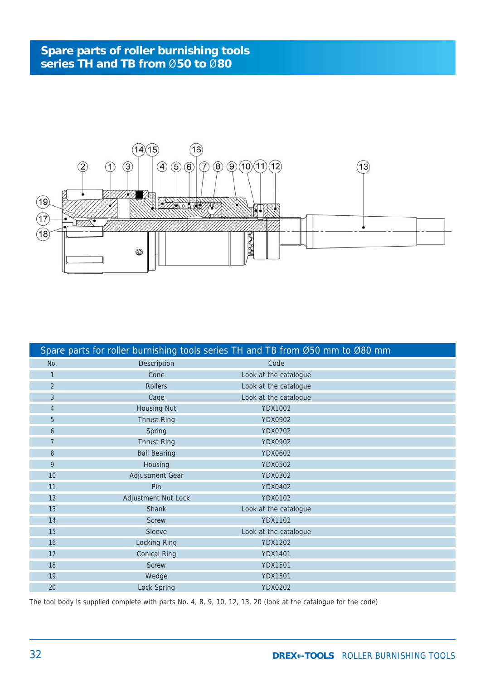

|                |                     | Spare parts for roller burnishing tools series TH and TB from Ø50 mm to Ø80 mm |  |
|----------------|---------------------|--------------------------------------------------------------------------------|--|
| No.            | Description         | Code                                                                           |  |
|                | Cone                | Look at the catalogue                                                          |  |
| 2              | <b>Rollers</b>      | Look at the catalogue                                                          |  |
| $\mathbf{3}$   | Cage                | Look at the catalogue                                                          |  |
| $\overline{4}$ | <b>Housing Nut</b>  | <b>YDX1002</b>                                                                 |  |
| 5              | <b>Thrust Ring</b>  | <b>YDX0902</b>                                                                 |  |
| 6              | Spring              | <b>YDX0702</b>                                                                 |  |
| $\overline{7}$ | <b>Thrust Ring</b>  | <b>YDX0902</b>                                                                 |  |
| 8              | <b>Ball Bearing</b> | YDX0602                                                                        |  |
| 9              | Housing             | <b>YDX0502</b>                                                                 |  |
| 10             | Adjustment Gear     | <b>YDX0302</b>                                                                 |  |
| 11             | Pin                 | <b>YDX0402</b>                                                                 |  |
| 12             | Adjustment Nut Lock | YDX0102                                                                        |  |
| 13             | Shank               | Look at the catalogue                                                          |  |
| 14             | <b>Screw</b>        | <b>YDX1102</b>                                                                 |  |
| 15             | Sleeve              | Look at the catalogue                                                          |  |
| 16             | Locking Ring        | <b>YDX1202</b>                                                                 |  |
| 17             | <b>Conical Ring</b> | <b>YDX1401</b>                                                                 |  |
| 18             | <b>Screw</b>        | <b>YDX1501</b>                                                                 |  |
| 19             | Wedge               | <b>YDX1301</b>                                                                 |  |
| 20             | Lock Spring         | <b>YDX0202</b>                                                                 |  |

The tool body is supplied complete with parts No. 4, 8, 9, 10, 12, 13, 20 (look at the catalogue for the code)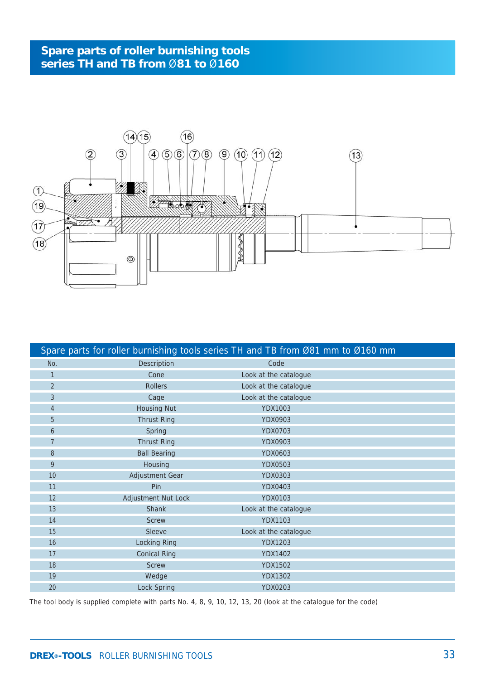

|                 |                     | Spare parts for roller burnishing tools series TH and TB from Ø81 mm to Ø160 mm |  |
|-----------------|---------------------|---------------------------------------------------------------------------------|--|
| No.             | Description         | Code                                                                            |  |
| 1               | Cone                | Look at the catalogue                                                           |  |
| 2               | <b>Rollers</b>      | Look at the catalogue                                                           |  |
| $\mathbf{3}$    | Cage                | Look at the catalogue                                                           |  |
| $\overline{4}$  | <b>Housing Nut</b>  | <b>YDX1003</b>                                                                  |  |
| 5               | <b>Thrust Ring</b>  | YDX0903                                                                         |  |
| 6               | Spring              | <b>YDX0703</b>                                                                  |  |
| $7\overline{ }$ | <b>Thrust Ring</b>  | <b>YDX0903</b>                                                                  |  |
| 8               | <b>Ball Bearing</b> | YDX0603                                                                         |  |
| 9               | Housing             | <b>YDX0503</b>                                                                  |  |
| 10              | Adjustment Gear     | YDX0303                                                                         |  |
| 11              | Pin                 | <b>YDX0403</b>                                                                  |  |
| 12              | Adjustment Nut Lock | <b>YDX0103</b>                                                                  |  |
| 13              | Shank               | Look at the catalogue                                                           |  |
| 14              | <b>Screw</b>        | <b>YDX1103</b>                                                                  |  |
| 15              | Sleeve              | Look at the catalogue                                                           |  |
| 16              | Locking Ring        | <b>YDX1203</b>                                                                  |  |
| 17              | <b>Conical Ring</b> | <b>YDX1402</b>                                                                  |  |
| 18              | <b>Screw</b>        | <b>YDX1502</b>                                                                  |  |
| 19              | Wedge               | <b>YDX1302</b>                                                                  |  |
| 20              | Lock Spring         | YDX0203                                                                         |  |

The tool body is supplied complete with parts No. 4, 8, 9, 10, 12, 13, 20 (look at the catalogue for the code)